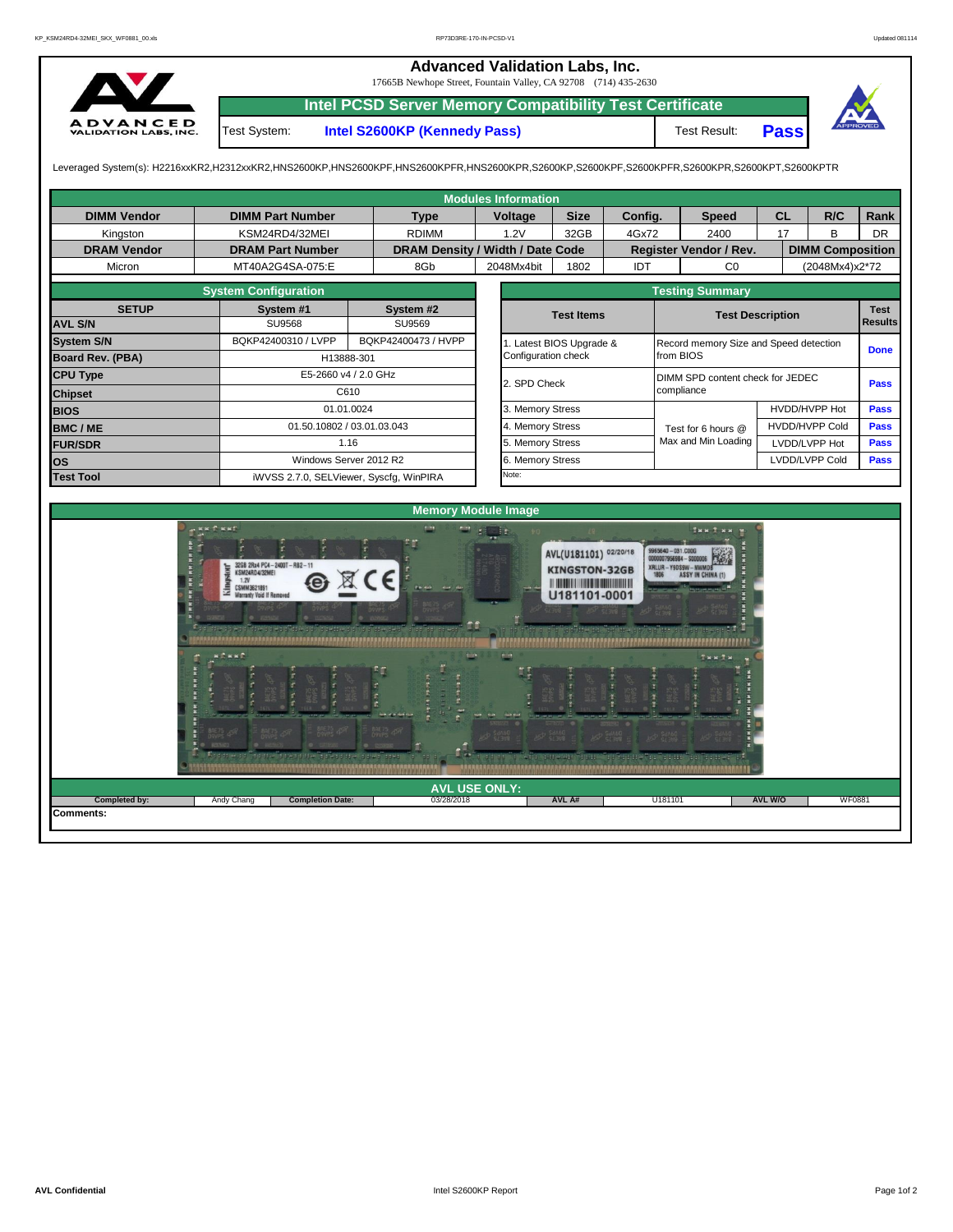## **Advanced Validation Labs, Inc.**

17665B Newhope Street, Fountain Valley, CA 92708 (714) 435-2630



**Intel PCSD Server Memory Compatibility Test Certificate**

Test System: **Intel S2600KP (Kennedy Pass)** Test Result:

U181101



**Pass**

Leveraged System(s): H2216xxKR2,H2312xxKR2,HNS2600KP,HNS2600KPF,HNS2600KPFR,HNS2600KPR,S2600KP,S2600KPF,S2600KPFR,S2600KPR,S2600KPT,S2600KPTR

| <b>Modules Information</b> |                                                                                                        |                                         |                                            |                                                               |                                       |                                        |                                  |                         |             |  |  |  |  |
|----------------------------|--------------------------------------------------------------------------------------------------------|-----------------------------------------|--------------------------------------------|---------------------------------------------------------------|---------------------------------------|----------------------------------------|----------------------------------|-------------------------|-------------|--|--|--|--|
| <b>DIMM Vendor</b>         | <b>DIMM Part Number</b>                                                                                | <b>Type</b>                             | Voltage                                    | <b>Size</b>                                                   | Config.                               | <b>Speed</b>                           | <b>CL</b>                        | R/C                     | Rank        |  |  |  |  |
| Kingston                   | KSM24RD4/32MEI                                                                                         | <b>RDIMM</b>                            | 1.2V                                       | 32GB                                                          | 4Gx72                                 | 2400                                   | 17                               | B                       | <b>DR</b>   |  |  |  |  |
| <b>DRAM Vendor</b>         | <b>DRAM Part Number</b>                                                                                | <b>DRAM Density / Width / Date Code</b> |                                            |                                                               |                                       | Register Vendor / Rev.                 |                                  | <b>DIMM Composition</b> |             |  |  |  |  |
| Micron                     | MT40A2G4SA-075:E                                                                                       | 8Gb                                     | 2048Mx4bit                                 | 1802                                                          | IDT                                   | $_{\rm CO}$                            |                                  | (2048Mx4)x2*72          |             |  |  |  |  |
|                            | <b>System Configuration</b>                                                                            |                                         |                                            |                                                               |                                       | <b>Testing Summary</b>                 |                                  |                         |             |  |  |  |  |
| <b>SETUP</b>               | System #1                                                                                              | System #2                               |                                            | <b>Test Items</b>                                             |                                       | <b>Test Description</b>                |                                  |                         |             |  |  |  |  |
| <b>AVL S/N</b>             | <b>SU9568</b>                                                                                          | SU9569                                  |                                            |                                                               |                                       |                                        | <b>Results</b>                   |                         |             |  |  |  |  |
| <b>System S/N</b>          | BQKP42400310 / LVPP                                                                                    | BQKP42400473 / HVPP                     |                                            | 1. Latest BIOS Upgrade &                                      |                                       | Record memory Size and Speed detection |                                  |                         | <b>Done</b> |  |  |  |  |
| <b>Board Rev. (PBA)</b>    |                                                                                                        | H13888-301                              | Configuration check                        |                                                               |                                       | from BIOS                              |                                  |                         |             |  |  |  |  |
| <b>CPU Type</b>            |                                                                                                        | E5-2660 v4 / 2.0 GHz                    | 2. SPD Check                               |                                                               |                                       |                                        | DIMM SPD content check for JEDEC |                         |             |  |  |  |  |
| <b>Chipset</b>             |                                                                                                        | C610                                    |                                            |                                                               |                                       | compliance                             |                                  |                         |             |  |  |  |  |
| <b>BIOS</b>                |                                                                                                        | 01.01.0024                              | 3. Memory Stress                           |                                                               |                                       |                                        |                                  | HVDD/HVPP Hot           | <b>Pass</b> |  |  |  |  |
| <b>BMC/ME</b>              |                                                                                                        | 01.50.10802 / 03.01.03.043              | 4. Memory Stress                           |                                                               |                                       | Test for 6 hours @                     | HVDD/HVPP Cold                   | Pass                    |             |  |  |  |  |
| <b>FUR/SDR</b>             |                                                                                                        | 1.16                                    | 5. Memory Stress                           |                                                               |                                       | Max and Min Loading                    |                                  | LVDD/LVPP Hot           | <b>Pass</b> |  |  |  |  |
| <b>OS</b>                  |                                                                                                        | Windows Server 2012 R2                  | 6. Memory Stress                           |                                                               |                                       |                                        |                                  | LVDD/LVPP Cold          | Pass        |  |  |  |  |
| <b>Test Tool</b>           |                                                                                                        | iWVSS 2.7.0, SELViewer, Syscfq, WinPIRA | Note:                                      |                                                               |                                       |                                        |                                  |                         |             |  |  |  |  |
|                            | 32GB 2Rx4 PC4-2400T-RB2-11<br>KSM24RD4/32MEI<br>1.2V<br>CSMM3621891<br><b>Warranty Void If Removed</b> | ÷,<br>CE                                | <b>Memory Module Image</b><br><b>EL Br</b> | AVL(U181101) 02/20/18<br><b>KINGSTON-32GB</b><br>U181101-0001 |                                       | INN I NN<br>965640 - 031 C00           |                                  |                         |             |  |  |  |  |
|                            | $\times$ $\sim$ $\times$ $\sim$ $\sim$                                                                 |                                         |                                            |                                                               | ki na na ma'in masa na na Calamana (n | $2.92 \times 2.3$                      |                                  |                         |             |  |  |  |  |

03/28/2018

**Completed by: Andy Chang Completion Date: 8 03/28/2018 AVL A# U181101 AVL W/O WF0881 AVL USE ONLY:**

**Comments:**